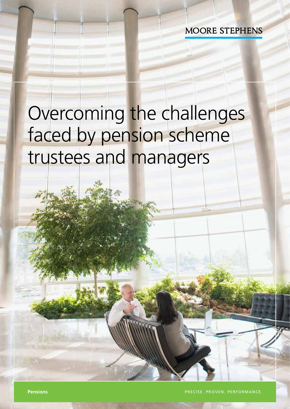**MOORE STEPHENS** 

# Overcoming the challenges faced by pension scheme trustees and managers

**Pensions** PRECISE. PROVEN. PERFORMANCE.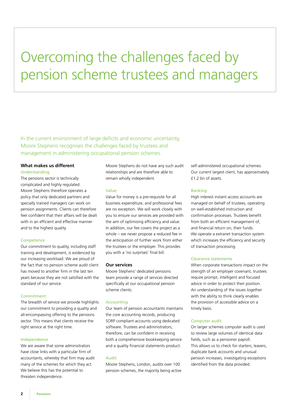## Overcoming the challenges faced by pension scheme trustees and managers

In the current environment of large deficits and economic uncertainty, Moore Stephens recognises the challenges faced by trustees and management in administering occupational pension schemes.

#### **What makes us different**  Understanding

The pensions sector is technically complicated and highly regulated. Moore Stephens therefore operates a policy that only dedicated partners and specially trained managers can work on pension assignments. Clients can therefore feel confident that their affairs will be dealt with in an efficient and effective manner and to the highest quality.

#### **Competence**

Our commitment to quality, including staff training and development, is evidenced by our increasing workload. We are proud of the fact that no pension scheme audit client has moved to another firm in the last ten years because they are not satisfied with the standard of our service.

#### Commitment

The breadth of service we provide highlights our commitment to providing a quality and all-encompassing offering to the pensions sector. This means that clients receive the right service at the right time.

#### Independence

We are aware that some administrators have close links with a particular firm of accountants, whereby that firm may audit many of the schemes for which they act. We believe this has the potential to threaten independence.

Moore Stephens do not have any such audit relationships and are therefore able to remain wholly independent.

#### Value

Value for money is a pre-requisite for all business expenditure, and professional fees are no exception. We will work closely with you to ensure our services are provided with the aim of optimising efficiency and value. In addition, our fee covers the project as a whole – we never propose a reduced fee in the anticipation of further work from either the trustees or the employer. This provides you with a 'no surprises' final bill.

#### **Our services**

Moore Stephens' dedicated pensions team provide a range of services directed specifically at our occupational pension scheme clients:

#### Accounting

Our team of pension accountants maintains the core accounting records, producing SORP compliant accounts using dedicated software. Trustees and administrators, therefore, can be confident in receiving both a comprehensive bookkeeping service and a quality financial statements product.

#### Audit

Moore Stephens, London, audits over 100 pension schemes, the majority being active self-administered occupational schemes. Our current largest client, has approximately £1.2 bn of assets.

#### Banking

High interest instant access accounts are managed on behalf of trustees, operating on well-established instruction and confirmation processes. Trustees benefit from both an efficient management of, and financial return on, their funds. We operate a extranet transaction system which increases the efficiency and security of transaction processing.

#### Clearance statements

When corporate transactions impact on the strength of an employer covenant, trustees require prompt, intelligent and focused advice in order to protect their position. An understanding of the issues together with the ability to think clearly enables the provision of accessible advice on a timely basis.

#### Computer audit

On larger schemes computer audit is used to review large volumes of identical data fields, such as a pensioner payroll. This allows us to check for starters, leavers, duplicate bank accounts and unusual pension increases, investigating exceptions identified from the data provided.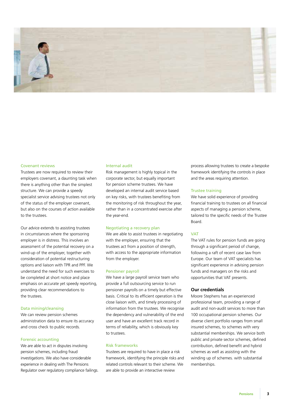

#### Covenant reviews

Trustees are now required to review their employers covenant, a daunting task when there is anything other than the simplest structure. We can provide a speedy specialist service advising trustees not only of the status of the employer covenant, but also on the courses of action available to the trustees.

Our advice extends to assisting trustees in circumstances where the sponsoring employer is in distress. This involves an assessment of the potential recovery on a wind-up of the employer, together with consideration of potential restructuring options and liaison with TPR and PPF. We understand the need for such exercises to be completed at short notice and place emphasis on accurate yet speedy reporting, providing clear recommendations to the trustees.

#### Data mining/cleansing

We can review pension schemes administration data to ensure its accuracy and cross check to public records.

#### Forensic accounting

We are able to act in disputes involving pension schemes, including fraud investigations. We also have considerable experience in dealing with The Pensions Regulator over regulatory compliance failings.

#### Internal audit

Risk management is highly topical in the corporate sector, but equally important for pension scheme trustees. We have developed an internal audit service based on key risks, with trustees benefiting from the monitoring of risk throughout the year, rather than in a concentrated exercise after the year-end.

#### Negotiating a recovery plan

We are able to assist trustees in negotiating with the employer, ensuring that the trustees act from a position of strength, with access to the appropriate information from the employer.

#### Pensioner payroll

We have a large payroll service team who provide a full outsourcing service to run pensioner payrolls on a timely but effective basis. Critical to its efficient operation is the close liaison with, and timely processing of information from the trustees. We recognise the dependency and vulnerability of the end user and have an excellent track record in terms of reliability, which is obviously key to trustees.

#### Risk frameworks

Trustees are required to have in place a risk framework, identifying the principle risks and related controls relevant to their scheme. We are able to provide an interactive review

process allowing trustees to create a bespoke framework identifying the controls in place and the areas requiring attention.

#### Trustee training

We have solid experience of providing financial training to trustees on all financial aspects of managing a pension scheme, tailored to the specific needs of the Trustee Board.

#### VAT

The VAT rules for pension funds are going through a significant period of change, following a raft of recent case law from Europe. Our team of VAT specialists has significant experience in advising pension funds and managers on the risks and opportunities that VAT presents.

#### **Our credentials**

Moore Stephens has an experienced professional team, providing a range of audit and non-audit services to more than 100 occupational pension schemes. Our diverse client portfolio ranges from small insured schemes, to schemes with very substantial memberships. We service both public and private sector schemes, defined contribution, defined benefit and hybrid schemes as well as assisting with the winding up of schemes. with substantial memberships.